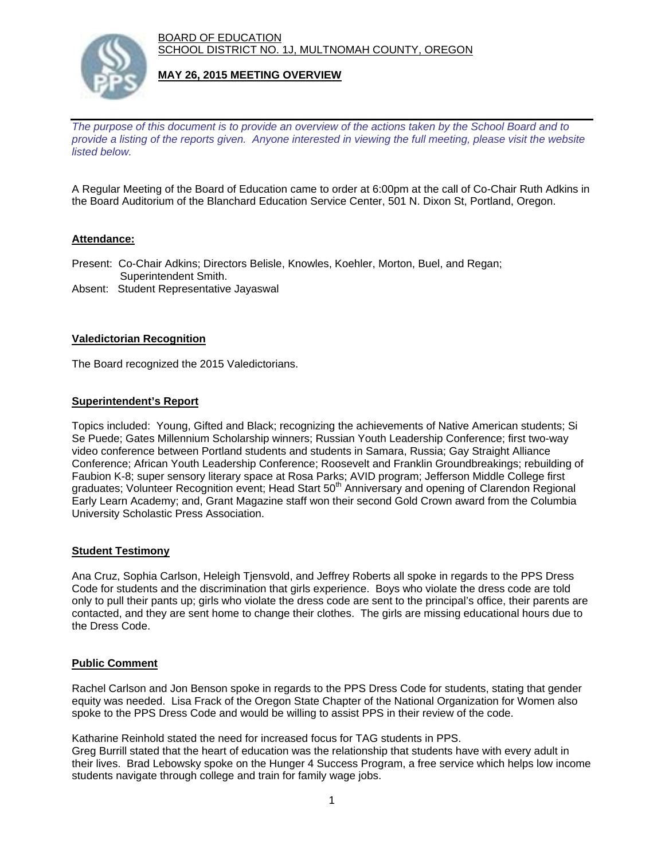BOARD OF EDUCATION SCHOOL DISTRICT NO. 1J, MULTNOMAH COUNTY, OREGON



## **MAY 26, 2015 MEETING OVERVIEW**

*The purpose of this document is to provide an overview of the actions taken by the School Board and to provide a listing of the reports given. Anyone interested in viewing the full meeting, please visit the website listed below.* 

A Regular Meeting of the Board of Education came to order at 6:00pm at the call of Co-Chair Ruth Adkins in the Board Auditorium of the Blanchard Education Service Center, 501 N. Dixon St, Portland, Oregon.

## **Attendance:**

Present: Co-Chair Adkins; Directors Belisle, Knowles, Koehler, Morton, Buel, and Regan; Superintendent Smith.

Absent: Student Representative Jayaswal

### **Valedictorian Recognition**

The Board recognized the 2015 Valedictorians.

### **Superintendent's Report**

Topics included: Young, Gifted and Black; recognizing the achievements of Native American students; Si Se Puede; Gates Millennium Scholarship winners; Russian Youth Leadership Conference; first two-way video conference between Portland students and students in Samara, Russia; Gay Straight Alliance Conference; African Youth Leadership Conference; Roosevelt and Franklin Groundbreakings; rebuilding of Faubion K-8; super sensory literary space at Rosa Parks; AVID program; Jefferson Middle College first graduates; Volunteer Recognition event; Head Start 50<sup>th</sup> Anniversary and opening of Clarendon Regional Early Learn Academy; and, Grant Magazine staff won their second Gold Crown award from the Columbia University Scholastic Press Association.

### **Student Testimony**

Ana Cruz, Sophia Carlson, Heleigh Tjensvold, and Jeffrey Roberts all spoke in regards to the PPS Dress Code for students and the discrimination that girls experience. Boys who violate the dress code are told only to pull their pants up; girls who violate the dress code are sent to the principal's office, their parents are contacted, and they are sent home to change their clothes. The girls are missing educational hours due to the Dress Code.

# **Public Comment**

Rachel Carlson and Jon Benson spoke in regards to the PPS Dress Code for students, stating that gender equity was needed. Lisa Frack of the Oregon State Chapter of the National Organization for Women also spoke to the PPS Dress Code and would be willing to assist PPS in their review of the code.

Katharine Reinhold stated the need for increased focus for TAG students in PPS.

Greg Burrill stated that the heart of education was the relationship that students have with every adult in their lives. Brad Lebowsky spoke on the Hunger 4 Success Program, a free service which helps low income students navigate through college and train for family wage jobs.